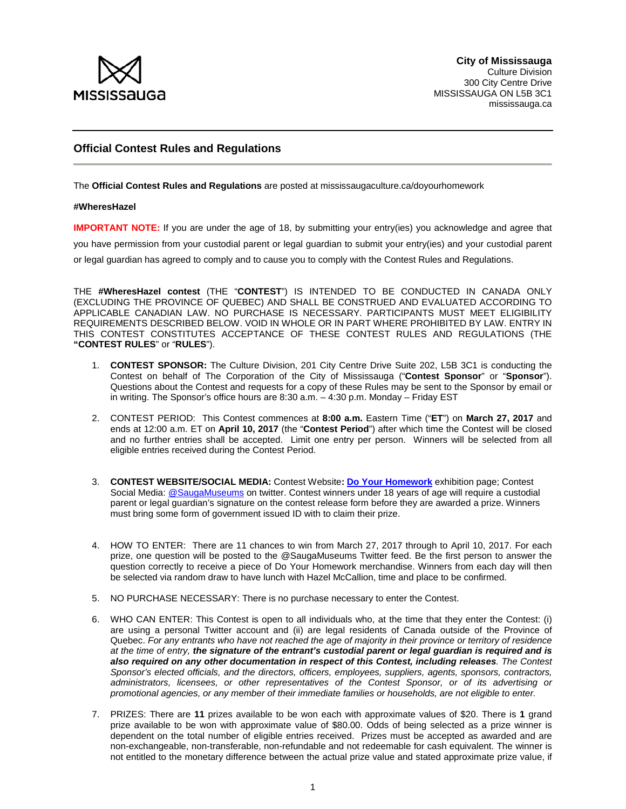

## **Official Contest Rules and Regulations**

The **Official Contest Rules and Regulations** are posted at mississaugaculture.ca/doyourhomework

## **#WheresHazel**

**IMPORTANT NOTE:** If you are under the age of 18, by submitting your entry(ies) you acknowledge and agree that you have permission from your custodial parent or legal guardian to submit your entry(ies) and your custodial parent or legal guardian has agreed to comply and to cause you to comply with the Contest Rules and Regulations.

THE **#WheresHazel contest** (THE "**CONTEST**") IS INTENDED TO BE CONDUCTED IN CANADA ONLY (EXCLUDING THE PROVINCE OF QUEBEC) AND SHALL BE CONSTRUED AND EVALUATED ACCORDING TO APPLICABLE CANADIAN LAW. NO PURCHASE IS NECESSARY. PARTICIPANTS MUST MEET ELIGIBILITY REQUIREMENTS DESCRIBED BELOW. VOID IN WHOLE OR IN PART WHERE PROHIBITED BY LAW. ENTRY IN THIS CONTEST CONSTITUTES ACCEPTANCE OF THESE CONTEST RULES AND REGULATIONS (THE **"CONTEST RULES**" or "**RULES**").

- 1. **CONTEST SPONSOR:** The Culture Division, 201 City Centre Drive Suite 202, L5B 3C1 is conducting the Contest on behalf of The Corporation of the City of Mississauga ("**Contest Sponsor**" or "**Sponsor**"). Questions about the Contest and requests for a copy of these Rules may be sent to the Sponsor by email or in writing. The Sponsor's office hours are 8:30 a.m. – 4:30 p.m. Monday – Friday EST
- 2. CONTEST PERIOD: This Contest commences at **8:00 a.m.** Eastern Time ("**ET**") on **March 27, 2017** and ends at 12:00 a.m. ET on **April 10, 2017** (the "**Contest Period**") after which time the Contest will be closed and no further entries shall be accepted. Limit one entry per person. Winners will be selected from all eligible entries received during the Contest Period.
- 3. **CONTEST WEBSITE/SOCIAL MEDIA:** Contest Website**[: Do Your Homework](https://culture.mississauga.ca/event/mississauga-civic-centre/do-your-homework)** exhibition page; Contest Social Media[: @SaugaMuseums](https://twitter.com/SaugaMuseums) on twitter. Contest winners under 18 years of age will require a custodial parent or legal guardian's signature on the contest release form before they are awarded a prize. Winners must bring some form of government issued ID with to claim their prize.
- 4. HOW TO ENTER: There are 11 chances to win from March 27, 2017 through to April 10, 2017. For each prize, one question will be posted to the @SaugaMuseums Twitter feed. Be the first person to answer the question correctly to receive a piece of Do Your Homework merchandise. Winners from each day will then be selected via random draw to have lunch with Hazel McCallion, time and place to be confirmed.
- 5. NO PURCHASE NECESSARY: There is no purchase necessary to enter the Contest.
- 6. WHO CAN ENTER: This Contest is open to all individuals who, at the time that they enter the Contest: (i) are using a personal Twitter account and (ii) are legal residents of Canada outside of the Province of Quebec. *For any entrants who have not reached the age of majority in their province or territory of residence at the time of entry, the signature of the entrant's custodial parent or legal guardian is required and is also required on any other documentation in respect of this Contest, including releases. The Contest Sponsor's elected officials, and the directors, officers, employees, suppliers, agents, sponsors, contractors, administrators, licensees, or other representatives of the Contest Sponsor, or of its advertising or promotional agencies, or any member of their immediate families or households, are not eligible to enter.*
- 7. PRIZES: There are **11** prizes available to be won each with approximate values of \$20. There is **1** grand prize available to be won with approximate value of \$80.00. Odds of being selected as a prize winner is dependent on the total number of eligible entries received. Prizes must be accepted as awarded and are non-exchangeable, non-transferable, non-refundable and not redeemable for cash equivalent. The winner is not entitled to the monetary difference between the actual prize value and stated approximate prize value, if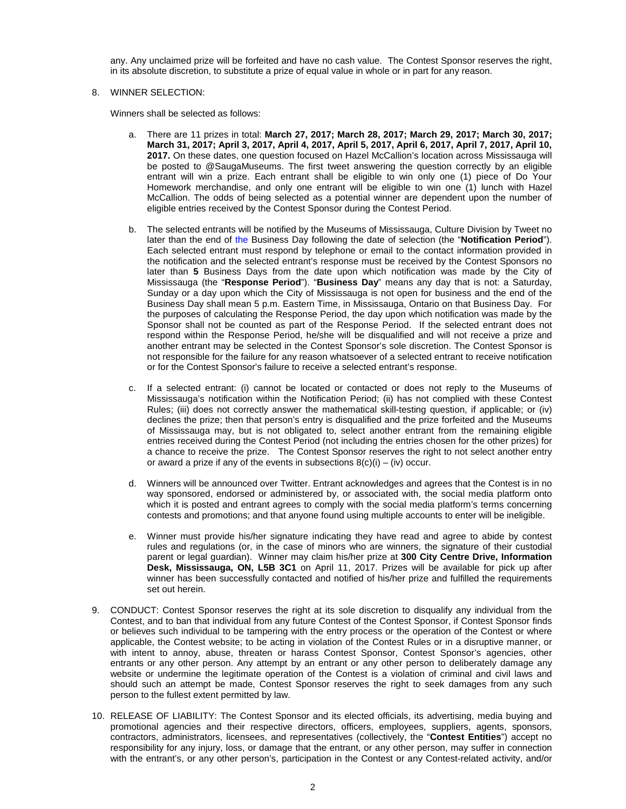any. Any unclaimed prize will be forfeited and have no cash value. The Contest Sponsor reserves the right, in its absolute discretion, to substitute a prize of equal value in whole or in part for any reason.

## 8. WINNER SELECTION:

Winners shall be selected as follows:

- a. There are 11 prizes in total: **March 27, 2017; March 28, 2017; March 29, 2017; March 30, 2017; March 31, 2017; April 3, 2017, April 4, 2017, April 5, 2017, April 6, 2017, April 7, 2017, April 10, 2017.** On these dates, one question focused on Hazel McCallion's location across Mississauga will be posted to @SaugaMuseums. The first tweet answering the question correctly by an eligible entrant will win a prize. Each entrant shall be eligible to win only one (1) piece of Do Your Homework merchandise, and only one entrant will be eligible to win one (1) lunch with Hazel McCallion. The odds of being selected as a potential winner are dependent upon the number of eligible entries received by the Contest Sponsor during the Contest Period.
- b. The selected entrants will be notified by the Museums of Mississauga, Culture Division by Tweet no later than the end of the Business Day following the date of selection (the "**Notification Period**"). Each selected entrant must respond by telephone or email to the contact information provided in the notification and the selected entrant's response must be received by the Contest Sponsors no later than **5** Business Days from the date upon which notification was made by the City of Mississauga (the "**Response Period**"). "**Business Day**" means any day that is not: a Saturday, Sunday or a day upon which the City of Mississauga is not open for business and the end of the Business Day shall mean 5 p.m. Eastern Time, in Mississauga, Ontario on that Business Day. For the purposes of calculating the Response Period, the day upon which notification was made by the Sponsor shall not be counted as part of the Response Period. If the selected entrant does not respond within the Response Period, he/she will be disqualified and will not receive a prize and another entrant may be selected in the Contest Sponsor's sole discretion. The Contest Sponsor is not responsible for the failure for any reason whatsoever of a selected entrant to receive notification or for the Contest Sponsor's failure to receive a selected entrant's response.
- c. If a selected entrant: (i) cannot be located or contacted or does not reply to the Museums of Mississauga's notification within the Notification Period; (ii) has not complied with these Contest Rules; (iii) does not correctly answer the mathematical skill-testing question, if applicable; or (iv) declines the prize; then that person's entry is disqualified and the prize forfeited and the Museums of Mississauga may, but is not obligated to, select another entrant from the remaining eligible entries received during the Contest Period (not including the entries chosen for the other prizes) for a chance to receive the prize. The Contest Sponsor reserves the right to not select another entry or award a prize if any of the events in subsections  $8(c)(i) - (iv)$  occur.
- d. Winners will be announced over Twitter. Entrant acknowledges and agrees that the Contest is in no way sponsored, endorsed or administered by, or associated with, the social media platform onto which it is posted and entrant agrees to comply with the social media platform's terms concerning contests and promotions; and that anyone found using multiple accounts to enter will be ineligible.
- e. Winner must provide his/her signature indicating they have read and agree to abide by contest rules and regulations (or, in the case of minors who are winners, the signature of their custodial parent or legal guardian). Winner may claim his/her prize at **300 City Centre Drive, Information Desk, Mississauga, ON, L5B 3C1** on April 11, 2017. Prizes will be available for pick up after winner has been successfully contacted and notified of his/her prize and fulfilled the requirements set out herein.
- 9. CONDUCT: Contest Sponsor reserves the right at its sole discretion to disqualify any individual from the Contest, and to ban that individual from any future Contest of the Contest Sponsor, if Contest Sponsor finds or believes such individual to be tampering with the entry process or the operation of the Contest or where applicable, the Contest website; to be acting in violation of the Contest Rules or in a disruptive manner, or with intent to annoy, abuse, threaten or harass Contest Sponsor, Contest Sponsor's agencies, other entrants or any other person. Any attempt by an entrant or any other person to deliberately damage any website or undermine the legitimate operation of the Contest is a violation of criminal and civil laws and should such an attempt be made, Contest Sponsor reserves the right to seek damages from any such person to the fullest extent permitted by law.
- 10. RELEASE OF LIABILITY: The Contest Sponsor and its elected officials, its advertising, media buying and promotional agencies and their respective directors, officers, employees, suppliers, agents, sponsors, contractors, administrators, licensees, and representatives (collectively, the "**Contest Entities**") accept no responsibility for any injury, loss, or damage that the entrant, or any other person, may suffer in connection with the entrant's, or any other person's, participation in the Contest or any Contest-related activity, and/or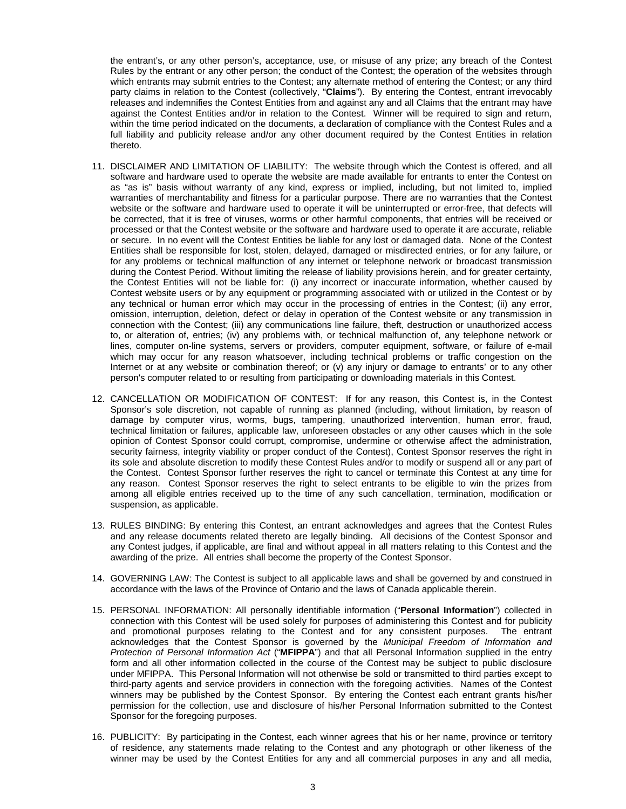the entrant's, or any other person's, acceptance, use, or misuse of any prize; any breach of the Contest Rules by the entrant or any other person; the conduct of the Contest; the operation of the websites through which entrants may submit entries to the Contest; any alternate method of entering the Contest; or any third party claims in relation to the Contest (collectively, "**Claims**"). By entering the Contest, entrant irrevocably releases and indemnifies the Contest Entities from and against any and all Claims that the entrant may have against the Contest Entities and/or in relation to the Contest. Winner will be required to sign and return, within the time period indicated on the documents, a declaration of compliance with the Contest Rules and a full liability and publicity release and/or any other document required by the Contest Entities in relation thereto.

- 11. DISCLAIMER AND LIMITATION OF LIABILITY: The website through which the Contest is offered, and all software and hardware used to operate the website are made available for entrants to enter the Contest on as "as is" basis without warranty of any kind, express or implied, including, but not limited to, implied warranties of merchantability and fitness for a particular purpose. There are no warranties that the Contest website or the software and hardware used to operate it will be uninterrupted or error-free, that defects will be corrected, that it is free of viruses, worms or other harmful components, that entries will be received or processed or that the Contest website or the software and hardware used to operate it are accurate, reliable or secure. In no event will the Contest Entities be liable for any lost or damaged data. None of the Contest Entities shall be responsible for lost, stolen, delayed, damaged or misdirected entries, or for any failure, or for any problems or technical malfunction of any internet or telephone network or broadcast transmission during the Contest Period. Without limiting the release of liability provisions herein, and for greater certainty, the Contest Entities will not be liable for: (i) any incorrect or inaccurate information, whether caused by Contest website users or by any equipment or programming associated with or utilized in the Contest or by any technical or human error which may occur in the processing of entries in the Contest; (ii) any error, omission, interruption, deletion, defect or delay in operation of the Contest website or any transmission in connection with the Contest; (iii) any communications line failure, theft, destruction or unauthorized access to, or alteration of, entries; (iv) any problems with, or technical malfunction of, any telephone network or lines, computer on-line systems, servers or providers, computer equipment, software, or failure of e-mail which may occur for any reason whatsoever, including technical problems or traffic congestion on the Internet or at any website or combination thereof; or (v) any injury or damage to entrants' or to any other person's computer related to or resulting from participating or downloading materials in this Contest.
- 12. CANCELLATION OR MODIFICATION OF CONTEST: If for any reason, this Contest is, in the Contest Sponsor's sole discretion, not capable of running as planned (including, without limitation, by reason of damage by computer virus, worms, bugs, tampering, unauthorized intervention, human error, fraud, technical limitation or failures, applicable law, unforeseen obstacles or any other causes which in the sole opinion of Contest Sponsor could corrupt, compromise, undermine or otherwise affect the administration, security fairness, integrity viability or proper conduct of the Contest), Contest Sponsor reserves the right in its sole and absolute discretion to modify these Contest Rules and/or to modify or suspend all or any part of the Contest. Contest Sponsor further reserves the right to cancel or terminate this Contest at any time for any reason. Contest Sponsor reserves the right to select entrants to be eligible to win the prizes from among all eligible entries received up to the time of any such cancellation, termination, modification or suspension, as applicable.
- 13. RULES BINDING: By entering this Contest, an entrant acknowledges and agrees that the Contest Rules and any release documents related thereto are legally binding. All decisions of the Contest Sponsor and any Contest judges, if applicable, are final and without appeal in all matters relating to this Contest and the awarding of the prize. All entries shall become the property of the Contest Sponsor.
- 14. GOVERNING LAW: The Contest is subject to all applicable laws and shall be governed by and construed in accordance with the laws of the Province of Ontario and the laws of Canada applicable therein.
- 15. PERSONAL INFORMATION: All personally identifiable information ("**Personal Information**") collected in connection with this Contest will be used solely for purposes of administering this Contest and for publicity and promotional purposes relating to the Contest and for any consistent purposes. The entrant acknowledges that the Contest Sponsor is governed by the *Municipal Freedom of Information and Protection of Personal Information Act* ("**MFIPPA**") and that all Personal Information supplied in the entry form and all other information collected in the course of the Contest may be subject to public disclosure under MFIPPA. This Personal Information will not otherwise be sold or transmitted to third parties except to third-party agents and service providers in connection with the foregoing activities. Names of the Contest winners may be published by the Contest Sponsor. By entering the Contest each entrant grants his/her permission for the collection, use and disclosure of his/her Personal Information submitted to the Contest Sponsor for the foregoing purposes.
- 16. PUBLICITY: By participating in the Contest, each winner agrees that his or her name, province or territory of residence, any statements made relating to the Contest and any photograph or other likeness of the winner may be used by the Contest Entities for any and all commercial purposes in any and all media,